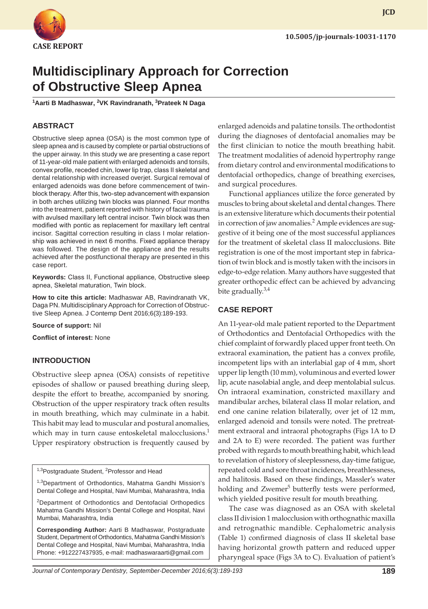

**JCD**

# **Multidisciplinary Approach for Correction of Obstructive Sleep Apnea**

**1 Aarti B Madhaswar, <sup>2</sup> VK Ravindranath, 3 Prateek N Daga**

# **ABSTRACT**

Obstructive sleep apnea (OSA) is the most common type of sleep apnea and is caused by complete or partial obstructions of the upper airway. In this study we are presenting a case report of 11-year-old male patient with enlarged adenoids and tonsils, convex profile, receded chin, lower lip trap, class II skeletal and dental relationship with increased overjet. Surgical removal of enlarged adenoids was done before commencement of twinblock therapy. After this, two-step advancement with expansion in both arches utilizing twin blocks was planned. Four months into the treatment, patient reported with history of facial trauma with avulsed maxillary left central incisor. Twin block was then modified with pontic as replacement for maxillary left central incisor. Sagittal correction resulting in class I molar relationship was achieved in next 6 months. Fixed appliance therapy was followed. The design of the appliance and the results achieved after the postfunctional therapy are presented in this case report.

**Keywords:** Class II, Functional appliance, Obstructive sleep apnea, Skeletal maturation, Twin block.

**How to cite this article:** Madhaswar AB, Ravindranath VK, Daga PN. Multidisciplinary Approach for Correction of Obstructive Sleep Apnea. J Contemp Dent 2016;6(3):189-193.

**Source of support:** Nil

**Conflict of interest:** None

#### **INTRODUCTION**

Obstructive sleep apnea (OSA) consists of repetitive episodes of shallow or paused breathing during sleep, despite the effort to breathe, accompanied by snoring. Obstruction of the upper respiratory track often results in mouth breathing, which may culminate in a habit. This habit may lead to muscular and postural anomalies, which may in turn cause entoskeletal malocclusions.<sup>1</sup> Upper respiratory obstruction is frequently caused by

<sup>1,3</sup>Postgraduate Student, <sup>2</sup>Professor and Head

<sup>1,3</sup>Department of Orthodontics, Mahatma Gandhi Mission's Dental College and Hospital, Navi Mumbai, Maharashtra, India

<sup>2</sup>Department of Orthodontics and Dentofacial Orthopedics Mahatma Gandhi Mission's Dental College and Hospital, Navi Mumbai, Maharashtra, India

**Corresponding Author:** Aarti B Madhaswar, Postgraduate Student, Department of Orthodontics, Mahatma Gandhi Mission's Dental College and Hospital, Navi Mumbai, Maharashtra, India Phone: +912227437935, e-mail: madhaswaraarti@gmail.com

enlarged adenoids and palatine tonsils. The orthodontist during the diagnoses of dentofacial anomalies may be the first clinician to notice the mouth breathing habit. The treatment modalities of adenoid hypertrophy range from dietary control and environmental modifications to dentofacial orthopedics, change of breathing exercises, and surgical procedures.

Functional appliances utilize the force generated by muscles to bring about skeletal and dental changes. There is an extensive literature which documents their potential in correction of jaw anomalies.<sup>2</sup> Ample evidences are suggestive of it being one of the most successful appliances for the treatment of skeletal class II malocclusions. Bite registration is one of the most important step in fabrication of twin block and is mostly taken with the incisors in edge-to-edge relation. Many authors have suggested that greater orthopedic effect can be achieved by advancing bite gradually.<sup>3,4</sup>

#### **CASE REPORT**

An 11-year-old male patient reported to the Department of Orthodontics and Dentofacial Orthopedics with the chief complaint of forwardly placed upper front teeth. On extraoral examination, the patient has a convex profile, incompetent lips with an interlabial gap of 4 mm, short upper lip length (10 mm), voluminous and everted lower lip, acute nasolabial angle, and deep mentolabial sulcus. On intraoral examination, constricted maxillary and mandibular arches, bilateral class II molar relation, and end one canine relation bilaterally, over jet of 12 mm, enlarged adenoid and tonsils were noted. The pretreatment extraoral and intraoral photographs (Figs 1A to D and 2A to E) were recorded. The patient was further probed with regards to mouth breathing habit, which lead to revelation of history of sleeplessness, day-time fatigue, repeated cold and sore throat incidences, breathlessness, and halitosis. Based on these findings, Massler's water holding and Zwemer<sup>5</sup> butterfly tests were performed, which yielded positive result for mouth breathing.

The case was diagnosed as an OSA with skeletal class II division 1 malocclusion with orthognathic maxilla and retrognathic mandible. Cephalometric analysis (Table 1) confirmed diagnosis of class II skeletal base having horizontal growth pattern and reduced upper pharyngeal space (Figs 3A to C). Evaluation of patient's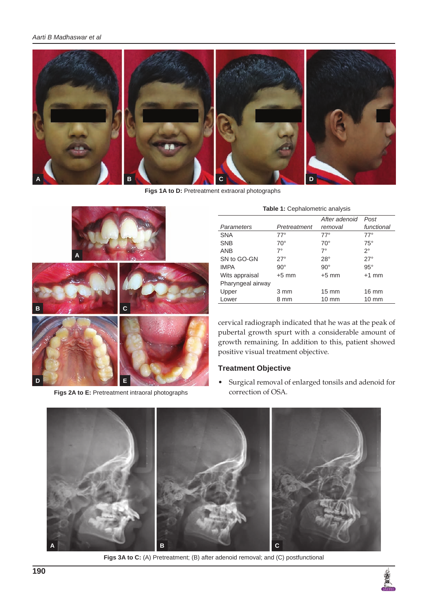

**Figs 1A to D:** Pretreatment extraoral photographs



**Figs 2A to E:** Pretreatment intraoral photographs

|  |  |  | Table 1: Cephalometric analysis |
|--|--|--|---------------------------------|
|--|--|--|---------------------------------|

|                   |              | After adenoid   | Post            |
|-------------------|--------------|-----------------|-----------------|
| Parameters        | Pretreatment | removal         | functional      |
| <b>SNA</b>        | $77^\circ$   | $77^\circ$      | $77^\circ$      |
| <b>SNB</b>        | $70^{\circ}$ | $70^{\circ}$    | $75^\circ$      |
| <b>ANB</b>        | $7^\circ$    | $7^\circ$       | $2^{\circ}$     |
| SN to GO-GN       | $27^\circ$   | $28^\circ$      | $27^\circ$      |
| <b>IMPA</b>       | $90^{\circ}$ | $90^{\circ}$    | $95^\circ$      |
| Wits appraisal    | $+5$ mm      | $+5$ mm         | $+1$ mm         |
| Pharyngeal airway |              |                 |                 |
| Upper             | 3 mm         | $15 \text{ mm}$ | $16 \text{ mm}$ |
| Lower             | 8 mm         | $10 \text{ mm}$ | $10 \text{ mm}$ |

cervical radiograph indicated that he was at the peak of pubertal growth spurt with a considerable amount of growth remaining. In addition to this, patient showed positive visual treatment objective.

# **Treatment Objective**

• Surgical removal of enlarged tonsils and adenoid for correction of OSA.



**Figs 3A to C:** (A) Pretreatment; (B) after adenoid removal; and (C) postfunctional

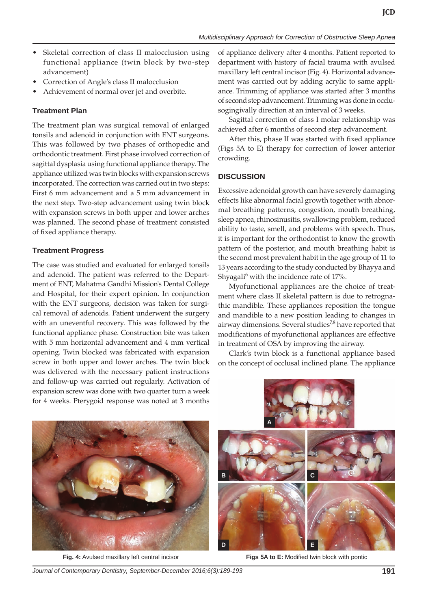**JCD**

- Skeletal correction of class II malocclusion using functional appliance (twin block by two-step advancement)
- Correction of Angle's class II malocclusion
- Achievement of normal over jet and overbite.

# **Treatment Plan**

The treatment plan was surgical removal of enlarged tonsils and adenoid in conjunction with ENT surgeons. This was followed by two phases of orthopedic and orthodontic treatment. First phase involved correction of sagittal dysplasia using functional appliance therapy. The appliance utilized was twin blocks with expansion screws incorporated. The correction was carried out in two steps: First 6 mm advancement and a 5 mm advancement in the next step. Two-step advancement using twin block with expansion screws in both upper and lower arches was planned. The second phase of treatment consisted of fixed appliance therapy.

# **Treatment Progress**

The case was studied and evaluated for enlarged tonsils and adenoid. The patient was referred to the Department of ENT, Mahatma Gandhi Mission's Dental College and Hospital, for their expert opinion. In conjunction with the ENT surgeons, decision was taken for surgical removal of adenoids. Patient underwent the surgery with an uneventful recovery. This was followed by the functional appliance phase. Construction bite was taken with 5 mm horizontal advancement and 4 mm vertical opening. Twin blocked was fabricated with expansion screw in both upper and lower arches. The twin block was delivered with the necessary patient instructions and follow-up was carried out regularly. Activation of expansion screw was done with two quarter turn a week for 4 weeks. Pterygoid response was noted at 3 months of appliance delivery after 4 months. Patient reported to department with history of facial trauma with avulsed maxillary left central incisor (Fig. 4). Horizontal advancement was carried out by adding acrylic to same appliance. Trimming of appliance was started after 3 months of second step advancement. Trimming was done in occlusogingivally direction at an interval of 3 weeks.

Sagittal correction of class I molar relationship was achieved after 6 months of second step advancement.

After this, phase II was started with fixed appliance (Figs 5A to E) therapy for correction of lower anterior crowding.

# **DISCUSSION**

Excessive adenoidal growth can have severely damaging effects like abnormal facial growth together with abnormal breathing patterns, congestion, mouth breathing, sleep apnea, rhinosinusitis, swallowing problem, reduced ability to taste, smell, and problems with speech. Thus, it is important for the orthodontist to know the growth pattern of the posterior, and mouth breathing habit is the second most prevalent habit in the age group of 11 to 13 years according to the study conducted by Bhayya and Shyagali $^6$  with the incidence rate of 17%.

Myofunctional appliances are the choice of treatment where class II skeletal pattern is due to retrognathic mandible. These appliances reposition the tongue and mandible to a new position leading to changes in airway dimensions. Several studies<sup>7,8</sup> have reported that modifications of myofunctional appliances are effective in treatment of OSA by improving the airway.

Clark's twin block is a functional appliance based on the concept of occlusal inclined plane. The appliance





**Fig. 4:** Avulsed maxillary left central incisor **Figs 5A to E:** Modified twin block with pontic

*Journal of Contemporary Dentistry, September-December 2016;6(3):189-193* **191**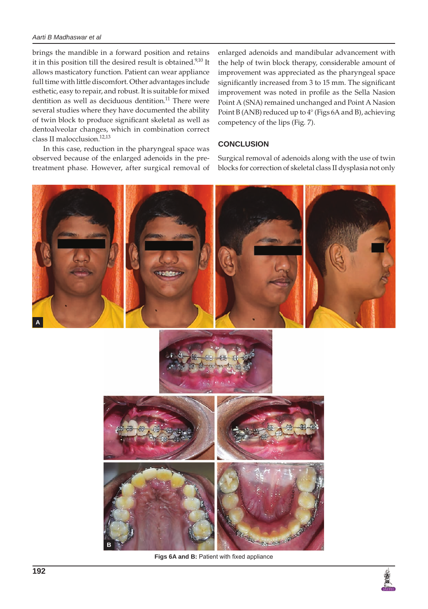#### *Aarti B Madhaswar et al*

brings the mandible in a forward position and retains it in this position till the desired result is obtained.<sup>9,10</sup> It allows masticatory function. Patient can wear appliance full time with little discomfort. Other advantages include esthetic, easy to repair, and robust. It is suitable for mixed dentition as well as deciduous dentition.<sup>11</sup> There were several studies where they have documented the ability of twin block to produce significant skeletal as well as dentoalveolar changes, which in combination correct class II malocclusion.<sup>12,13</sup>

In this case, reduction in the pharyngeal space was observed because of the enlarged adenoids in the pretreatment phase. However, after surgical removal of enlarged adenoids and mandibular advancement with the help of twin block therapy, considerable amount of improvement was appreciated as the pharyngeal space significantly increased from 3 to 15 mm. The significant improvement was noted in profile as the Sella Nasion Point A (SNA) remained unchanged and Point A Nasion Point B (ANB) reduced up to 4° (Figs 6A and B), achieving competency of the lips (Fig. 7).

### **CONCLUSION**

Surgical removal of adenoids along with the use of twin blocks for correction of skeletal class II dysplasia not only



**Figs 6A and B:** Patient with fixed appliance